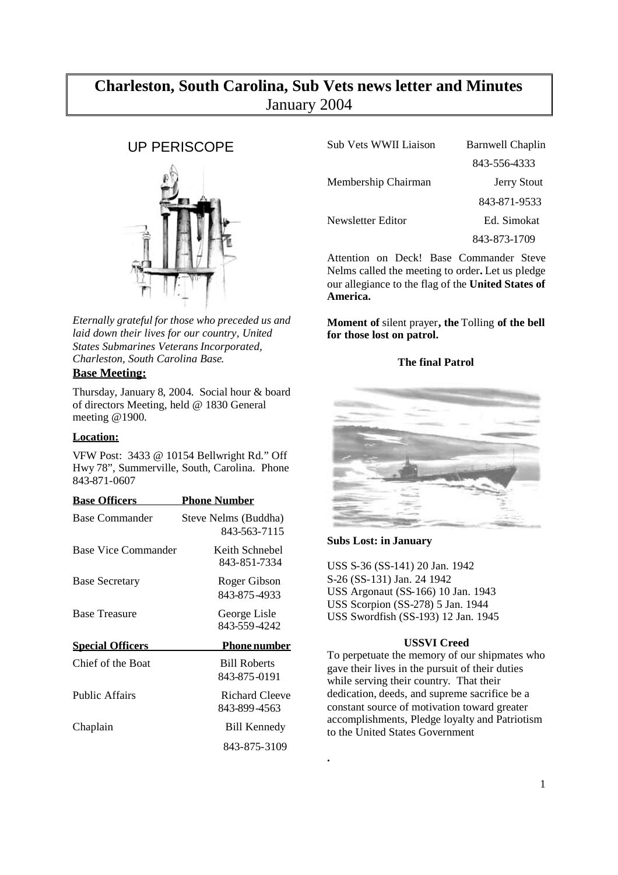# **Charleston, South Carolina, Sub Vets news letter and Minutes** January 2004

# UP PERISCOPE



*Eternally grateful for those who preceded us and laid down their lives for our country, United States Submarines Veterans Incorporated, Charleston, South Carolina Base*.

## **Base Meeting:**

Thursday, January 8, 2004. Social hour & board of directors Meeting, held @ 1830 General meeting @1900.

## **Location:**

VFW Post: 3433 @ 10154 Bellwright Rd." Off Hwy 78", Summerville, South, Carolina. Phone 843-871-0607

| <b>Base Officers</b>    | <b>Phone Number</b>                  |
|-------------------------|--------------------------------------|
| <b>Base Commander</b>   | Steve Nelms (Buddha)<br>843-563-7115 |
| Base Vice Commander     | Keith Schnebel<br>843-851-7334       |
| <b>Base Secretary</b>   | Roger Gibson<br>843-875-4933         |
| <b>Base Treasure</b>    | George Lisle<br>843-559-4242         |
| <b>Special Officers</b> | <u>Phone number</u>                  |
| Chief of the Boat       | <b>Bill Roberts</b><br>843-875-0191  |
| <b>Public Affairs</b>   | Richard Cleeve<br>843-899-4563       |
| Chaplain                | Bill Kennedy                         |
|                         | 843-875-3109                         |

| Sub Vets WWII Liaison | <b>Barnwell Chaplin</b> |
|-----------------------|-------------------------|
|                       | 843-556-4333            |
| Membership Chairman   | <b>Jerry Stout</b>      |
|                       | 843-871-9533            |
| Newsletter Editor     | Ed. Simokat             |
|                       | 843-873-1709            |
|                       |                         |

Attention on Deck! Base Commander Steve Nelms called the meeting to order**.** Let us pledge our allegiance to the flag of the **United States of America.**

**Moment of** silent prayer**, the** Tolling **of the bell for those lost on patrol.**

## **The final Patrol**



## **Subs Lost: in January**

**.**

USS S-36 (SS-141) 20 Jan. 1942 S-26 (SS-131) Jan. 24 1942 USS Argonaut (SS-166) 10 Jan. 1943 USS Scorpion (SS-278) 5 Jan. 1944 USS Swordfish (SS-193) 12 Jan. 1945

### **USSVI Creed**

To perpetuate the memory of our shipmates who gave their lives in the pursuit of their duties while serving their country. That their dedication, deeds, and supreme sacrifice be a constant source of motivation toward greater accomplishments, Pledge loyalty and Patriotism to the United States Government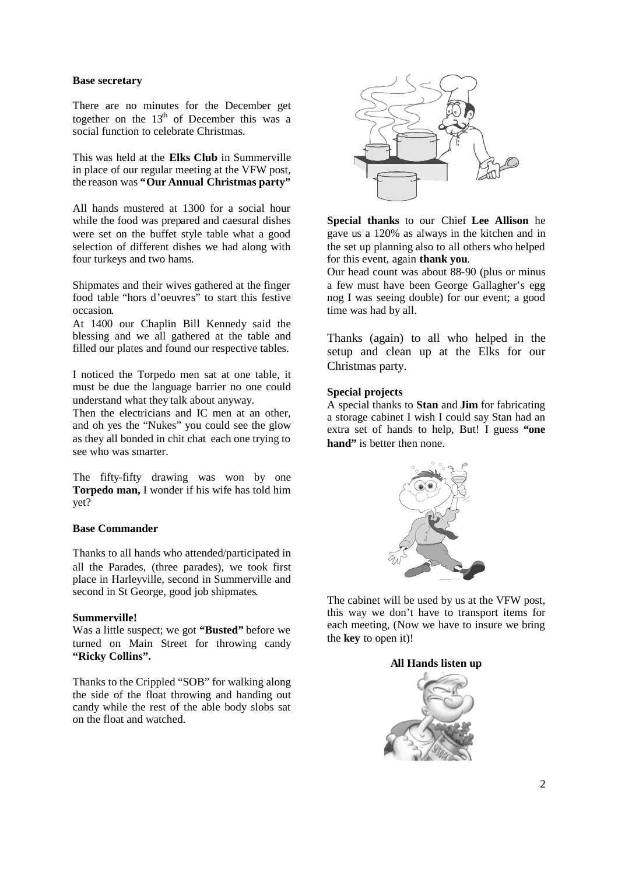#### **Base secretary**

There are no minutes for the December get together on the  $13<sup>th</sup>$  of December this was a social function to celebrate Christmas.

This was held at the **Elks Club** in Summerville in place of our regular meeting at the VFW post, the reason was **"Our Annual Christmas party"**

All hands mustered at 1300 for a social hour while the food was prepared and caesural dishes were set on the buffet style table what a good selection of different dishes we had along with four turkeys and two hams.

Shipmates and their wives gathered at the finger food table "hors d'oeuvres" to start this festive occasion.

At 1400 our Chaplin Bill Kennedy said the blessing and we all gathered at the table and filled our plates and found our respective tables.

I noticed the Torpedo men sat at one table, it must be due the language barrier no one could understand what they talk about anyway.

Then the electricians and IC men at an other, and oh yes the "Nukes" you could see the glow as they all bonded in chit chat each one trying to see who was smarter.

The fifty-fifty drawing was won by one **Torpedo man,** I wonder if his wife has told him yet?

#### **Base Commander**

Thanks to all hands who attended/participated in all the Parades, (three parades), we took first place in Harleyville, second in Summerville and second in St George, good job shipmates.

#### **Summerville!**

Was a little suspect; we got **"Busted"** before we turned on Main Street for throwing candy **"Ricky Collins".**

Thanks to the Crippled "SOB" for walking along the side of the float throwing and handing out candy while the rest of the able body slobs sat on the float and watched.



**Special thanks** to our Chief **Lee Allison** he gave us a 120% as always in the kitchen and in the set up planning also to all others who helped for this event, again **thank you**.

Our head count was about 88-90 (plus or minus a few must have been George Gallagher's egg nog I was seeing double) for our event; a good time was had by all.

Thanks (again) to all who helped in the setup and clean up at the Elks for our Christmas party.

### **Special projects**

A special thanks to **Stan** and **Jim** for fabricating a storage cabinet I wish I could say Stan had an extra set of hands to help, But! I guess **"one** hand" is better then none.



The cabinet will be used by us at the VFW post, this way we don't have to transport items for each meeting, (Now we have to insure we bring the **key** to open it)!

**All Hands listen up**

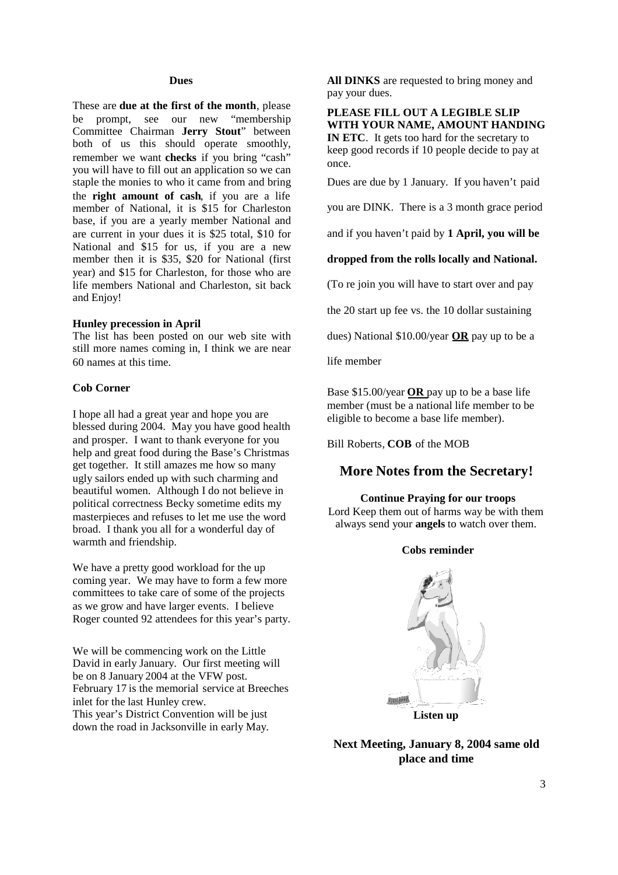#### **Dues**

These are **due at the first of the month**, please be prompt, see our new "membership Committee Chairman **Jerry Stout**" between both of us this should operate smoothly, remember we want **checks** if you bring "cash" you will have to fill out an application so we can staple the monies to who it came from and bring the **right amount of cash**, if you are a life member of National, it is \$15 for Charleston base, if you are a yearly member National and are current in your dues it is \$25 total, \$10 for National and \$15 for us, if you are a new member then it is \$35, \$20 for National (first year) and \$15 for Charleston, for those who are life members National and Charleston, sit back and Enjoy!

#### **Hunley precession in April**

The list has been posted on our web site with still more names coming in, I think we are near 60 names at this time.

#### **Cob Corner**

I hope all had a great year and hope you are blessed during 2004. May you have good health and prosper. I want to thank everyone for you help and great food during the Base's Christmas get together. It still amazes me how so many ugly sailors ended up with such charming and beautiful women. Although I do not believe in political correctness Becky sometime edits my masterpieces and refuses to let me use the word broad. I thank you all for a wonderful day of warmth and friendship.

We have a pretty good workload for the up coming year. We may have to form a few more committees to take care of some of the projects as we grow and have larger events. I believe Roger counted 92 attendees for this year's party.

We will be commencing work on the Little David in early January. Our first meeting will be on 8 January 2004 at the VFW post. February 17 is the memorial service at Breeches inlet for the last Hunley crew. This year's District Convention will be just down the road in Jacksonville in early May.

**All DINKS** are requested to bring money and pay your dues.

**PLEASE FILL OUT A LEGIBLE SLIP WITH YOUR NAME, AMOUNT HANDING IN ETC**. It gets too hard for the secretary to keep good records if 10 people decide to pay at once.

Dues are due by 1 January. If you haven't paid

you are DINK. There is a 3 month grace period

and if you haven't paid by **1 April, you will be**

**dropped from the rolls locally and National.**

(To re join you will have to start over and pay

the 20 start up fee vs. the 10 dollar sustaining

dues) National \$10.00/year **OR** pay up to be a

life member

Base \$15.00/year **OR** pay up to be a base life member (must be a national life member to be eligible to become a base life member).

Bill Roberts, **COB** of the MOB

# **More Notes from the Secretary!**

### **Continue Praying for our troops**

Lord Keep them out of harms way be with them always send your **angels** to watch over them.

#### **Cobs reminder**



**Next Meeting, January 8, 2004 same old place and time**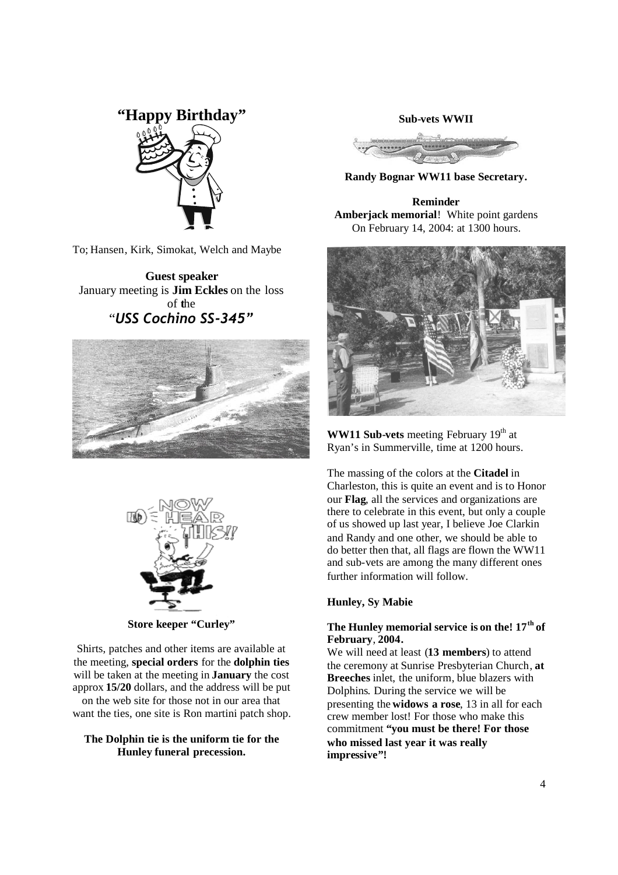# **"Happy Birthday"**



To; Hansen, Kirk, Simokat, Welch and Maybe

**Guest speaker** January meeting is **Jim Eckles** on the loss of **t**he "*USS Cochino SS-345"*





**Store keeper "Curley"**

Shirts, patches and other items are available at the meeting, **special orders** for the **dolphin ties** will be taken at the meeting in **January** the cost approx **15/20** dollars, and the address will be put on the web site for those not in our area that want the ties, one site is Ron martini patch shop.

#### **The Dolphin tie is the uniform tie for the Hunley funeral precession.**

**Sub-vets WWII**



**Randy Bognar WW11 base Secretary.**

**Reminder Amberjack memorial**! White point gardens On February 14, 2004: at 1300 hours.



**WW11 Sub-vets** meeting February 19<sup>th</sup> at Ryan's in Summerville, time at 1200 hours.

The massing of the colors at the **Citadel** in Charleston, this is quite an event and is to Honor our **Flag**, all the services and organizations are there to celebrate in this event, but only a couple of us showed up last year, I believe Joe Clarkin and Randy and one other, we should be able to do better then that, all flags are flown the WW11 and sub-vets are among the many different ones further information will follow.

## **Hunley, Sy Mabie**

# **The Hunley memorial service is on the! 17th of February**, **2004.**

We will need at least (**13 members**) to attend the ceremony at Sunrise Presbyterian Church, **at Breeches** inlet, the uniform, blue blazers with Dolphins. During the service we will be presenting the **widows a rose**, 13 in all for each crew member lost! For those who make this commitment **"you must be there! For those who missed last year it was really impressive"!**